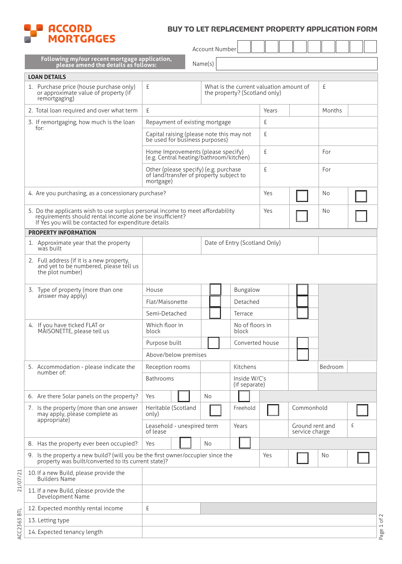

## buy to let REPLACEMENT PROPERTY APPLICATION FORM

| MOK I GHGES                                                                                                                                                                                               |                                                                                               |                               |                               |       |                                        |         |  |  |  |
|-----------------------------------------------------------------------------------------------------------------------------------------------------------------------------------------------------------|-----------------------------------------------------------------------------------------------|-------------------------------|-------------------------------|-------|----------------------------------------|---------|--|--|--|
|                                                                                                                                                                                                           |                                                                                               | Account Number                |                               |       |                                        |         |  |  |  |
| Following my/our recent mortgage application,<br>Name(s)<br>please amend the details as follows:                                                                                                          |                                                                                               |                               |                               |       |                                        |         |  |  |  |
| <b>LOAN DETAILS</b>                                                                                                                                                                                       |                                                                                               |                               |                               |       |                                        |         |  |  |  |
| 1. Purchase price (house purchase only)<br>or approximate value of property (if<br>remortgaging)                                                                                                          | £<br>What is the current valuation amount of<br>the property? (Scotland only)                 |                               |                               |       |                                        | £       |  |  |  |
| 2. Total loan required and over what term                                                                                                                                                                 | £                                                                                             |                               |                               | Years | Months                                 |         |  |  |  |
| 3. If remortgaging, how much is the loan                                                                                                                                                                  | Repayment of existing mortgage                                                                |                               |                               | £     |                                        |         |  |  |  |
| for:                                                                                                                                                                                                      | Capital raising (please note this may not<br>be used for business purposes)                   |                               |                               | £     |                                        |         |  |  |  |
|                                                                                                                                                                                                           | Home Improvements (please specify)<br>(e.g. Central heating/bathroom/kitchen)                 |                               |                               | £     |                                        | For     |  |  |  |
|                                                                                                                                                                                                           | Other (please specify) (e.g. purchase<br>of land/transfer of property subject to<br>mortgage) |                               |                               | £     |                                        | For     |  |  |  |
| 4. Are you purchasing, as a concessionary purchase?                                                                                                                                                       |                                                                                               | Yes                           |                               | No    |                                        |         |  |  |  |
| 5. Do the applicants wish to use surplus personal income to meet affordability<br>Yes<br>requirements should rental income alone be insufficient?<br>If Yes you will be contacted for expenditure details |                                                                                               |                               |                               |       |                                        | No      |  |  |  |
| <b>PROPERTY INFORMATION</b>                                                                                                                                                                               |                                                                                               |                               |                               |       |                                        |         |  |  |  |
| 1. Approximate year that the property<br>was built                                                                                                                                                        |                                                                                               |                               | Date of Entry (Scotland Only) |       |                                        |         |  |  |  |
| 2. Full address (if it is a new property,<br>and yet to be numbered, please tell us<br>the plot number)                                                                                                   |                                                                                               |                               |                               |       |                                        |         |  |  |  |
| 3. Type of property (more than one                                                                                                                                                                        | House                                                                                         |                               | Bungalow                      |       |                                        |         |  |  |  |
| answer may apply)                                                                                                                                                                                         | Flat/Maisonette<br>Detached                                                                   |                               |                               |       |                                        |         |  |  |  |
|                                                                                                                                                                                                           | Semi-Detached                                                                                 |                               | Terrace                       |       |                                        |         |  |  |  |
| 4. If you have ticked FLAT or<br>MÁISONETTE, please tell us                                                                                                                                               | Which floor in<br>No of floors in<br>block<br>block                                           |                               |                               |       |                                        |         |  |  |  |
|                                                                                                                                                                                                           | Purpose built                                                                                 |                               | Converted house               |       |                                        |         |  |  |  |
|                                                                                                                                                                                                           | Above/below premises                                                                          |                               |                               |       |                                        |         |  |  |  |
| 5. Accommodation - please indicate the                                                                                                                                                                    | Reception rooms                                                                               |                               | Kitchens                      |       |                                        | Bedroom |  |  |  |
| number of:                                                                                                                                                                                                | Bathrooms                                                                                     | Inside W/C's<br>(if separate) |                               |       |                                        |         |  |  |  |
| 6. Are there Solar panels on the property?                                                                                                                                                                | Yes                                                                                           | No.                           |                               |       |                                        |         |  |  |  |
| 7. Is the property (more than one answer<br>may apply, please complete as<br>appropriate)                                                                                                                 | Heritable (Scotland<br>only)                                                                  |                               | Freehold                      |       | Commonhold                             |         |  |  |  |
|                                                                                                                                                                                                           | Leasehold - unexpired term<br>Years<br>of lease                                               |                               |                               |       | Ground rent and<br>£<br>service charge |         |  |  |  |
| 8. Has the property ever been occupied?                                                                                                                                                                   | Yes                                                                                           | No.                           |                               |       |                                        |         |  |  |  |
| 9. Is the property a new build? (will you be the first owner/occupier since the<br>Yes<br>No<br>property was built/converted to its current state)?                                                       |                                                                                               |                               |                               |       |                                        |         |  |  |  |
| 10. If a new Build, please provide the<br><b>Builders Name</b>                                                                                                                                            |                                                                                               |                               |                               |       |                                        |         |  |  |  |
| 11. If a new Build, please provide the<br>Development Name                                                                                                                                                |                                                                                               |                               |                               |       |                                        |         |  |  |  |
| 12. Expected monthly rental income                                                                                                                                                                        | £                                                                                             |                               |                               |       |                                        |         |  |  |  |
| 13. Letting type                                                                                                                                                                                          |                                                                                               |                               |                               |       |                                        |         |  |  |  |
| 14. Expected tenancy length                                                                                                                                                                               |                                                                                               |                               |                               |       |                                        |         |  |  |  |
|                                                                                                                                                                                                           |                                                                                               |                               |                               |       |                                        |         |  |  |  |

21/07/21